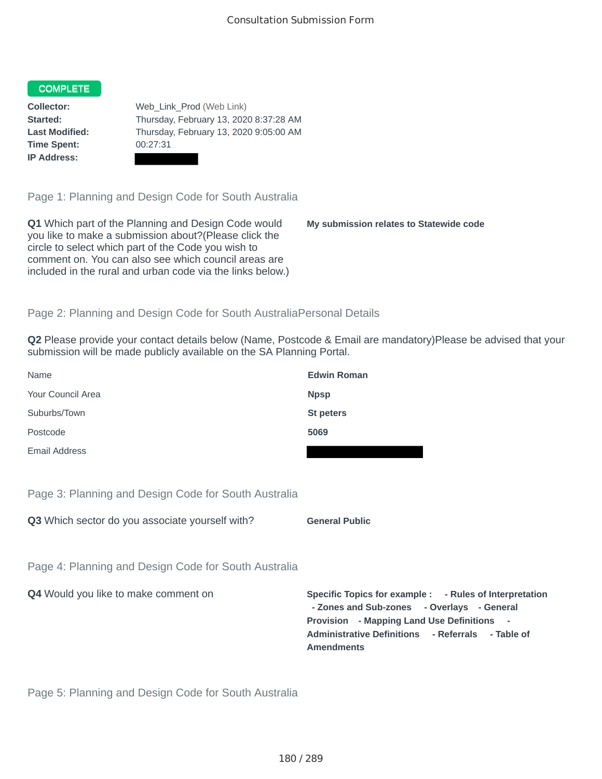### COMPLETE

**Time Spent:** 00:27:31 **IP Address:**

**Collector:** Web\_Link\_Prod (Web Link) **Started:** Thursday, February 13, 2020 8:37:28 AM **Last Modified:** Thursday, February 13, 2020 9:05:00 AM

Page 1: Planning and Design Code for South Australia

**Q1** Which part of the Planning and Design Code would you like to make a submission about?(Please click the circle to select which part of the Code you wish to comment on. You can also see which council areas are included in the rural and urban code via the links below.)

**My submission relates to Statewide code**

## Page 2: Planning and Design Code for South AustraliaPersonal Details

**Q2** Please provide your contact details below (Name, Postcode & Email are mandatory)Please be advised that your submission will be made publicly available on the SA Planning Portal.

|                                                      | - Zones and Sub-zones - Overlays - General<br><b>Provision</b> - Mapping Land Use Definitions<br>Administrative Definitions - Referrals - Table of<br><b>Amendments</b> |
|------------------------------------------------------|-------------------------------------------------------------------------------------------------------------------------------------------------------------------------|
| Q4 Would you like to make comment on                 | Specific Topics for example : - Rules of Interpretation                                                                                                                 |
| Page 4: Planning and Design Code for South Australia |                                                                                                                                                                         |
| Q3 Which sector do you associate yourself with?      | <b>General Public</b>                                                                                                                                                   |
| Page 3: Planning and Design Code for South Australia |                                                                                                                                                                         |
| Email Address                                        |                                                                                                                                                                         |
| Postcode                                             | 5069                                                                                                                                                                    |
| Suburbs/Town                                         | St peters                                                                                                                                                               |
| Your Council Area                                    | <b>Npsp</b>                                                                                                                                                             |
| Name                                                 | <b>Edwin Roman</b>                                                                                                                                                      |

Page 5: Planning and Design Code for South Australia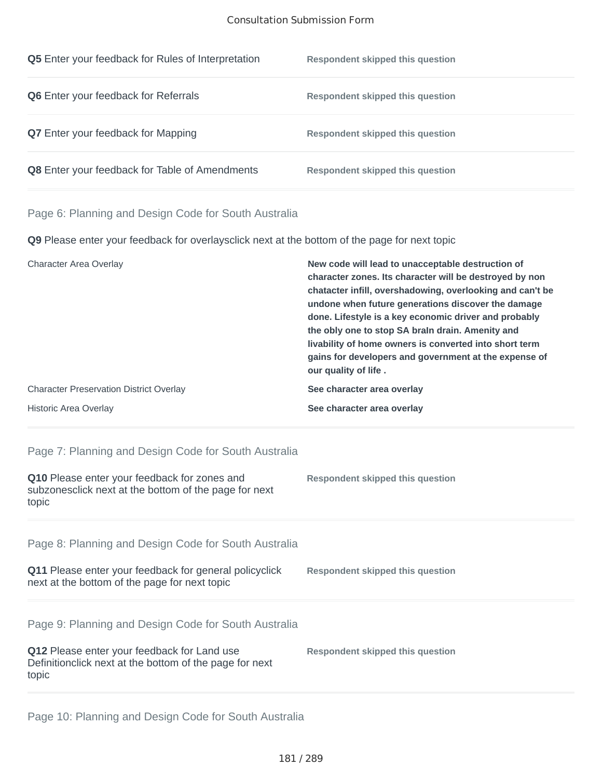#### Consultation Submission Form

| <b>Q5</b> Enter your feedback for Rules of Interpretation | <b>Respondent skipped this question</b> |
|-----------------------------------------------------------|-----------------------------------------|
| <b>Q6</b> Enter your feedback for Referrals               | <b>Respondent skipped this question</b> |
| <b>Q7</b> Enter your feedback for Mapping                 | <b>Respondent skipped this question</b> |
| <b>Q8</b> Enter your feedback for Table of Amendments     | <b>Respondent skipped this question</b> |

## Page 6: Planning and Design Code for South Australia

**Q9** Please enter your feedback for overlaysclick next at the bottom of the page for next topic

| Character Area Overlay                         | New code will lead to unacceptable destruction of<br>character zones. Its character will be destroyed by non<br>chatacter infill, overshadowing, overlooking and can't be<br>undone when future generations discover the damage<br>done. Lifestyle is a key economic driver and probably<br>the obly one to stop SA brain drain. Amenity and<br>livability of home owners is converted into short term<br>gains for developers and government at the expense of<br>our quality of life. |
|------------------------------------------------|-----------------------------------------------------------------------------------------------------------------------------------------------------------------------------------------------------------------------------------------------------------------------------------------------------------------------------------------------------------------------------------------------------------------------------------------------------------------------------------------|
| <b>Character Preservation District Overlay</b> | See character area overlay                                                                                                                                                                                                                                                                                                                                                                                                                                                              |
| <b>Historic Area Overlay</b>                   | See character area overlay                                                                                                                                                                                                                                                                                                                                                                                                                                                              |

# Page 7: Planning and Design Code for South Australia

| <b>Q10</b> Please enter your feedback for zones and<br>subzonesclick next at the bottom of the page for next<br>topic | Respondent skipped this question |  |
|-----------------------------------------------------------------------------------------------------------------------|----------------------------------|--|
|                                                                                                                       |                                  |  |

Page 8: Planning and Design Code for South Australia

| <b>Q11</b> Please enter your feedback for general policyclick | Respondent skipped this question |
|---------------------------------------------------------------|----------------------------------|
| next at the bottom of the page for next topic                 |                                  |

Page 9: Planning and Design Code for South Australia

| <b>Q12</b> Please enter your feedback for Land use       | Respondent skipped this question |
|----------------------------------------------------------|----------------------------------|
| Definition click next at the bottom of the page for next |                                  |
| topic                                                    |                                  |